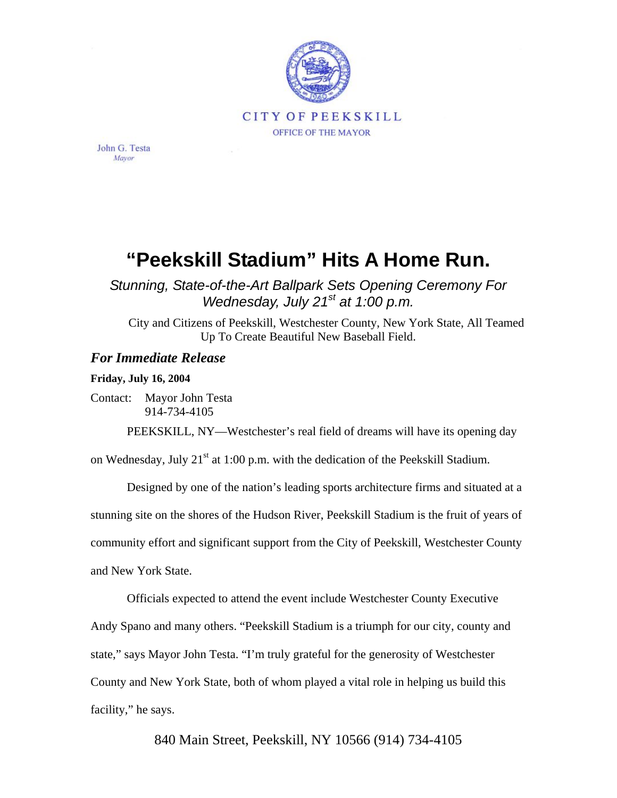

John G. Testa Mayor

## **"Peekskill Stadium" Hits A Home Run.**

*Stunning, State-of-the-Art Ballpark Sets Opening Ceremony For Wednesday, July 21st at 1:00 p.m.*

City and Citizens of Peekskill, Westchester County, New York State, All Teamed Up To Create Beautiful New Baseball Field.

## *For Immediate Release*

**Friday, July 16, 2004** 

Contact: Mayor John Testa 914-734-4105

PEEKSKILL, NY—Westchester's real field of dreams will have its opening day

on Wednesday, July  $21<sup>st</sup>$  at 1:00 p.m. with the dedication of the Peekskill Stadium.

Designed by one of the nation's leading sports architecture firms and situated at a stunning site on the shores of the Hudson River, Peekskill Stadium is the fruit of years of community effort and significant support from the City of Peekskill, Westchester County and New York State.

Officials expected to attend the event include Westchester County Executive Andy Spano and many others. "Peekskill Stadium is a triumph for our city, county and state," says Mayor John Testa. "I'm truly grateful for the generosity of Westchester County and New York State, both of whom played a vital role in helping us build this facility," he says.

840 Main Street, Peekskill, NY 10566 (914) 734-4105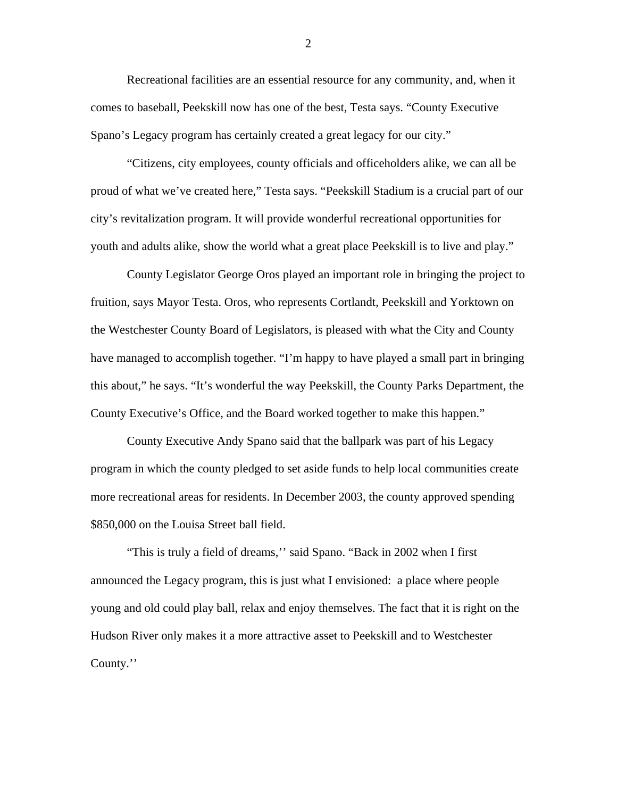Recreational facilities are an essential resource for any community, and, when it comes to baseball, Peekskill now has one of the best, Testa says. "County Executive Spano's Legacy program has certainly created a great legacy for our city."

"Citizens, city employees, county officials and officeholders alike, we can all be proud of what we've created here," Testa says. "Peekskill Stadium is a crucial part of our city's revitalization program. It will provide wonderful recreational opportunities for youth and adults alike, show the world what a great place Peekskill is to live and play."

County Legislator George Oros played an important role in bringing the project to fruition, says Mayor Testa. Oros, who represents Cortlandt, Peekskill and Yorktown on the Westchester County Board of Legislators, is pleased with what the City and County have managed to accomplish together. "I'm happy to have played a small part in bringing this about," he says. "It's wonderful the way Peekskill, the County Parks Department, the County Executive's Office, and the Board worked together to make this happen."

County Executive Andy Spano said that the ballpark was part of his Legacy program in which the county pledged to set aside funds to help local communities create more recreational areas for residents. In December 2003, the county approved spending \$850,000 on the Louisa Street ball field.

"This is truly a field of dreams,'' said Spano. "Back in 2002 when I first announced the Legacy program, this is just what I envisioned: a place where people young and old could play ball, relax and enjoy themselves. The fact that it is right on the Hudson River only makes it a more attractive asset to Peekskill and to Westchester County.''

2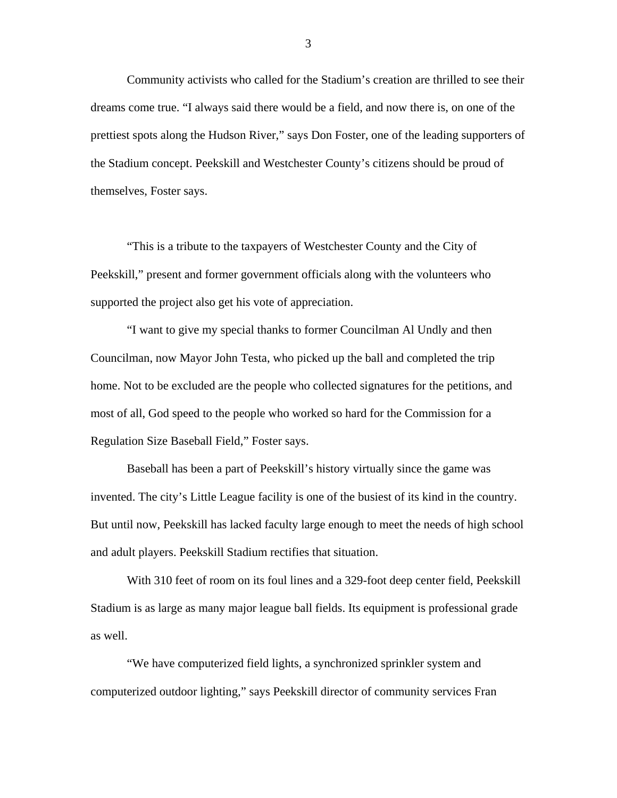Community activists who called for the Stadium's creation are thrilled to see their dreams come true. "I always said there would be a field, and now there is, on one of the prettiest spots along the Hudson River," says Don Foster, one of the leading supporters of the Stadium concept. Peekskill and Westchester County's citizens should be proud of themselves, Foster says.

"This is a tribute to the taxpayers of Westchester County and the City of Peekskill," present and former government officials along with the volunteers who supported the project also get his vote of appreciation.

"I want to give my special thanks to former Councilman Al Undly and then Councilman, now Mayor John Testa, who picked up the ball and completed the trip home. Not to be excluded are the people who collected signatures for the petitions, and most of all, God speed to the people who worked so hard for the Commission for a Regulation Size Baseball Field," Foster says.

Baseball has been a part of Peekskill's history virtually since the game was invented. The city's Little League facility is one of the busiest of its kind in the country. But until now, Peekskill has lacked faculty large enough to meet the needs of high school and adult players. Peekskill Stadium rectifies that situation.

With 310 feet of room on its foul lines and a 329-foot deep center field, Peekskill Stadium is as large as many major league ball fields. Its equipment is professional grade as well.

"We have computerized field lights, a synchronized sprinkler system and computerized outdoor lighting," says Peekskill director of community services Fran

3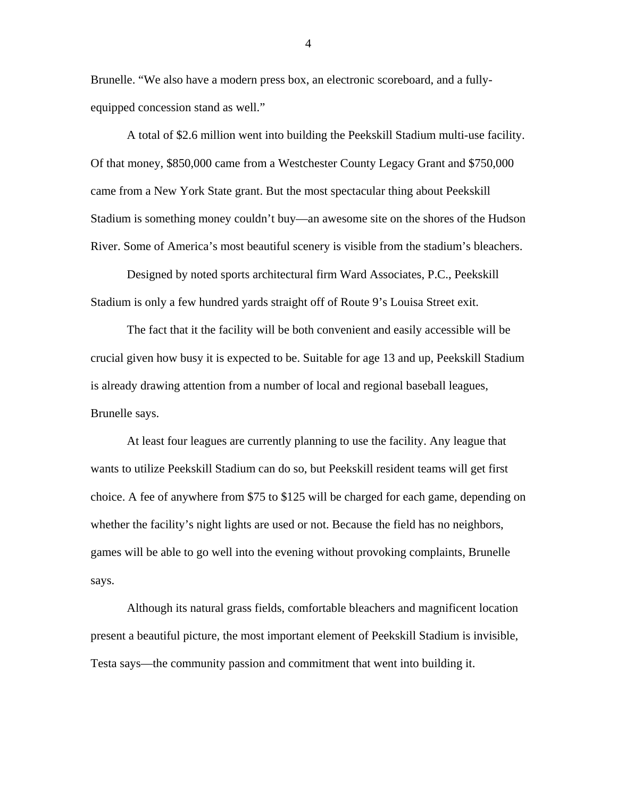Brunelle. "We also have a modern press box, an electronic scoreboard, and a fullyequipped concession stand as well."

A total of \$2.6 million went into building the Peekskill Stadium multi-use facility. Of that money, \$850,000 came from a Westchester County Legacy Grant and \$750,000 came from a New York State grant. But the most spectacular thing about Peekskill Stadium is something money couldn't buy—an awesome site on the shores of the Hudson River. Some of America's most beautiful scenery is visible from the stadium's bleachers.

Designed by noted sports architectural firm Ward Associates, P.C., Peekskill Stadium is only a few hundred yards straight off of Route 9's Louisa Street exit.

The fact that it the facility will be both convenient and easily accessible will be crucial given how busy it is expected to be. Suitable for age 13 and up, Peekskill Stadium is already drawing attention from a number of local and regional baseball leagues, Brunelle says.

At least four leagues are currently planning to use the facility. Any league that wants to utilize Peekskill Stadium can do so, but Peekskill resident teams will get first choice. A fee of anywhere from \$75 to \$125 will be charged for each game, depending on whether the facility's night lights are used or not. Because the field has no neighbors, games will be able to go well into the evening without provoking complaints, Brunelle says.

Although its natural grass fields, comfortable bleachers and magnificent location present a beautiful picture, the most important element of Peekskill Stadium is invisible, Testa says—the community passion and commitment that went into building it.

4